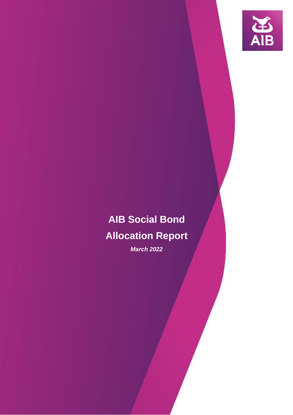

# **AIB Social Bond Allocation Report**

*March 2022*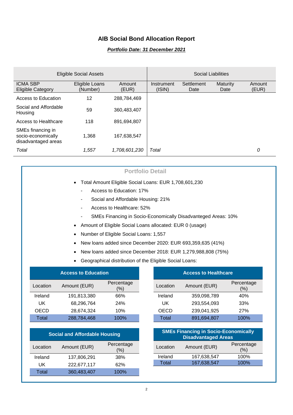## **AIB Social Bond Allocation Report**

#### *Portfolio Date: 31 December 2021*

|                                                                | <b>Eligible Social Assets</b> |                 |                      |                    | Social Liabilities      |                 |
|----------------------------------------------------------------|-------------------------------|-----------------|----------------------|--------------------|-------------------------|-----------------|
| <b>ICMA SBP</b><br>Eligible Category                           | Eligible Loans<br>(Number)    | Amount<br>(EUR) | Instrument<br>(ISIN) | Settlement<br>Date | <b>Maturity</b><br>Date | Amount<br>(EUR) |
| Access to Education                                            | 12                            | 288,784,469     |                      |                    |                         |                 |
| Social and Affordable<br>Housing                               | 59                            | 360,483,407     |                      |                    |                         |                 |
| Access to Healthcare                                           | 118                           | 891,694,807     |                      |                    |                         |                 |
| SMEs financing in<br>socio-economically<br>disadvantaged areas | 1.368                         | 167.638.547     |                      |                    |                         |                 |
| Total                                                          | 1.557                         | 1,708,601,230   | Total                |                    |                         | 0               |

### **Portfolio Detail**

- Total Amount Eligible Social Loans: EUR 1,708,601,230
	- Access to Education: 17%
	- Social and Affordable Housing: 21%
	- Access to Healthcare: 52%
	- SMEs Financing in Socio-Economically Disadvanteged Areas: 10%
- Amount of Eligible Social Loans allocated: EUR 0 (usage)
- Number of Eligible Social Loans: 1,557
- New loans added since December 2020: EUR 693,359,635 (41%)
- New loans added since December 2018: EUR 1,279,988,808 (75%)
- Geographical distribution of the Eligible Social Loans:

| <b>Access to Education</b> |              |                   |  |  |
|----------------------------|--------------|-------------------|--|--|
| Location                   | Amount (EUR) | Percentage<br>(%) |  |  |
| Ireland                    | 191,813,380  | 66%               |  |  |
| UK                         | 68,296,764   | 24%               |  |  |
| OECD                       | 28,674,324   | 10%               |  |  |
| Total                      | 288,784,468  | 100%              |  |  |

| <b>Social and Affordable Housing</b> |              |                   |  |  |
|--------------------------------------|--------------|-------------------|--|--|
| Location                             | Amount (EUR) | Percentage<br>(%) |  |  |
| Ireland                              | 137,806,291  | 38%               |  |  |
| UK                                   | 222,677,117  | 62%               |  |  |
| Total                                | 360,483,407  | 100%              |  |  |

| <b>Access to Healthcare</b> |              |                   |  |  |
|-----------------------------|--------------|-------------------|--|--|
| Location                    | Amount (EUR) | Percentage<br>(%) |  |  |
| Ireland                     | 359,098,789  | 40%               |  |  |
| UK                          | 293,554,093  | 33%               |  |  |
| <b>OECD</b>                 | 239,041,925  | 27%               |  |  |
| Total                       | 891,694,807  | 100%              |  |  |

| <b>SMEs Financing in Socio-Economically</b><br><b>Disadvantaged Areas</b> |              |                   |  |
|---------------------------------------------------------------------------|--------------|-------------------|--|
| Location                                                                  | Amount (EUR) | Percentage<br>(%) |  |
| Ireland                                                                   | 167,638,547  | 100%              |  |
| Total                                                                     | 167,638,547  | 100%              |  |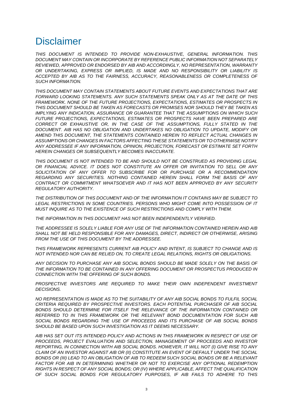# **Disclaimer**

*THIS DOCUMENT IS INTENDED TO PROVIDE NON-EXHAUSTIVE, GENERAL INFORMATION. THIS DOCUMENT MAY CONTAIN OR INCORPORATE BY REFERENCE PUBLIC INFORMATION NOT SEPARATELY REVIEWED, APPROVED OR ENDORSED BY AIB AND ACCORDINGLY, NO REPRESENTATION, WARRANTY OR UNDERTAKING, EXPRESS OR IMPLIED, IS MADE AND NO RESPONSIBILITY OR LIABILITY IS ACCEPTED BY AIB AS TO THE FAIRNESS, ACCURACY, REASONABLENESS OR COMPLETENESS OF SUCH INFORMATION.*

*THIS DOCUMENT MAY CONTAIN STATEMENTS ABOUT FUTURE EVENTS AND EXPECTATIONS THAT ARE FORWARD LOOKING STATEMENTS. ANY SUCH STATEMENTS SPEAK ONLY AS AT THE DATE OF THIS FRAMEWORK. NONE OF THE FUTURE PROJECTIONS, EXPECTATIONS, ESTIMATES OR PROSPECTS IN THIS DOCUMENT SHOULD BE TAKEN AS FORECASTS OR PROMISES NOR SHOULD THEY BE TAKEN AS IMPLYING ANY INDICATION, ASSURANCE OR GUARANTEE THAT THE ASSUMPTIONS ON WHICH SUCH*  **FUTURE PROJECTIONS, EXPECTATIONS, ESTIMATES OR PROSPECTS HAVE BEEN PREPARED ARE** *CORRECT OR EXHAUSTIVE OR, IN THE CASE OF THE ASSUMPTIONS, FULLY STATED IN THE DOCUMENT. AIB HAS NO OBLIGATION AND UNDERTAKES NO OBLIGATION TO UPDATE, MODIFY OR AMEND THIS DOCUMENT, THE STATEMENTS CONTAINED HEREIN TO REFLECT ACTUAL CHANGES IN ASSUMPTIONS OR CHANGES IN FACTORS AFFECTING THESE STATEMENTS OR TO OTHERWISE NOTIFY ANY ADDRESSEE IF ANY INFORMATION, OPINION, PROJECTION, FORECAST OR ESTIMATE SET FORTH HEREIN CHANGES OR SUBSEQUENTLY BECOMES INACCURATE.*

*THIS DOCUMENT IS NOT INTENDED TO BE AND SHOULD NOT BE CONSTRUED AS PROVIDING LEGAL OR FINANCIAL ADVICE. IT DOES NOT CONSTITUTE AN OFFER OR INVITATION TO SELL OR ANY*  SOLICITATION OF ANY OFFER TO SUBSCRIBE FOR OR PURCHASE OR A RECOMMENDATION *REGARDING ANY SECURITIES. NOTHING CONTAINED HEREIN SHALL FORM THE BASIS OF ANY CONTRACT OR COMMITMENT WHATSOEVER AND IT HAS NOT BEEN APPROVED BY ANY SECURITY REGULATORY AUTHORITY.*

*THE DISTRIBUTION OF THIS DOCUMENT AND OF THE INFORMATION IT CONTAINS MAY BE SUBJECT TO LEGAL RESTRICTIONS IN SOME COUNTRIES. PERSONS WHO MIGHT COME INTO POSSESSION OF IT MUST INQUIRE AS TO THE EXISTENCE OF SUCH RESTRICTIONS AND COMPLY WITH THEM.*

*THE INFORMATION IN THIS DOCUMENT HAS NOT BEEN INDEPENDENTLY VERIFIED.*

*THE ADDRESSEE IS SOLELY LIABLE FOR ANY USE OF THE INFORMATION CONTAINED HEREIN AND AIB SHALL NOT BE HELD RESPONSIBLE FOR ANY DAMAGES, DIRECT, INDIRECT OR OTHERWISE, ARISING FROM THE USE OF THIS DOCUMENT BY THE ADDRESSEE.*

*THIS FRAMEWORK REPRESENTS CURRENT AIB POLICY AND INTENT, IS SUBJECT TO CHANGE AND IS NOT INTENDED NOR CAN BE RELIED ON, TO CREATE LEGAL RELATIONS, RIGHTS OR OBLIGATIONS.* 

*ANY DECISION TO PURCHASE ANY AIB SOCIAL BONDS SHOULD BE MADE SOLELY ON THE BASIS OF THE INFORMATION TO BE CONTAINED IN ANY OFFERING DOCUMENT OR PROSPECTUS PRODUCED IN CONNECTION WITH THE OFFERING OF SUCH BONDS.*

*PROSPECTIVE INVESTORS ARE REQUIRED TO MAKE THEIR OWN INDEPENDENT INVESTMENT DECISIONS.*

*NO REPRESENTATION IS MADE AS TO THE SUITABILITY OF ANY AIB SOCIAL BONDS TO FULFIL SOCIAL CRITERIA REQUIRED BY PROSPECTIVE INVESTORS. EACH POTENTIAL PURCHASER OF AIB SOCIAL*  BONDS SHOULD DETERMINE FOR ITSELF THE RELEVANCE OF THE INFORMATION CONTAINED OR *REFERRED TO IN THIS FRAMEWORK OR THE RELEVANT BOND DOCUMENTATION FOR SUCH AIB*  SOCIAL BONDS REGARDING THE USE OF PROCEEDS AND ITS PURCHASE OF AIB SOCIAL BONDS *SHOULD BE BASED UPON SUCH INVESTIGATION AS IT DEEMS NECESSARY.*

*AIB HAS SET OUT ITS INTENDED POLICY AND ACTIONS IN THIS FRAMEWORK IN RESPECT OF USE OF PROCEEDS, PROJECT EVALUATION AND SELECTION, MANAGEMENT OF PROCEEDS AND INVESTOR REPORTING, IN CONNECTION WITH AIB SOCIAL BONDS. HOWEVER, IT WILL NOT (I) GIVE RISE TO ANY CLAIM OF AN INVESTOR AGAINST AIB OR (II) CONSTITUTE AN EVENT OF DEFAULT UNDER THE SOCIAL BONDS OR (III) LEAD TO AN OBLIGATION OF AIB TO REDEEM SUCH SOCIAL BONDS OR BE A RELEVANT*  FACTOR FOR AIB IN DETERMINING WHETHER OR NOT TO EXERCISE ANY OPTIONAL REDEMPTION *RIGHTS IN RESPECT OF ANY SOCIAL BONDS; OR (IV) WHERE APPLICABLE, AFFECT THE QUALIFICATION OF SUCH SOCIAL BONDS FOR REGULATORY PURPOSES, IF AIB FAILS TO ADHERE TO THIS*